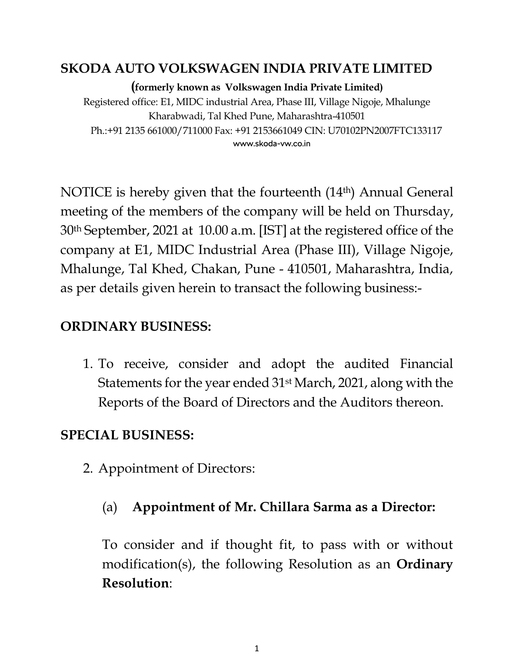#### **SKODA AUTO VOLKSWAGEN INDIA PRIVATE LIMITED**

**(formerly known as Volkswagen India Private Limited)**

Registered office: E1, MIDC industrial Area, Phase III, Village Nigoje, Mhalunge Kharabwadi, Tal Khed Pune, Maharashtra-410501 Ph.:+91 2135 661000/711000 Fax: +91 2153661049 CIN: U70102PN2007FTC133117 www.skoda-vw.co.in

NOTICE is hereby given that the fourteenth (14th) Annual General meeting of the members of the company will be held on Thursday, 30th September, 2021 at 10.00 a.m. [IST] at the registered office of the company at E1, MIDC Industrial Area (Phase III), Village Nigoje, Mhalunge, Tal Khed, Chakan, Pune - 410501, Maharashtra, India, as per details given herein to transact the following business:-

#### **ORDINARY BUSINESS:**

1. To receive, consider and adopt the audited Financial Statements for the year ended 31st March, 2021, along with the Reports of the Board of Directors and the Auditors thereon.

### **SPECIAL BUSINESS:**

2. Appointment of Directors:

#### (a) **Appointment of Mr. Chillara Sarma as a Director:**

To consider and if thought fit, to pass with or without modification(s), the following Resolution as an **Ordinary Resolution**: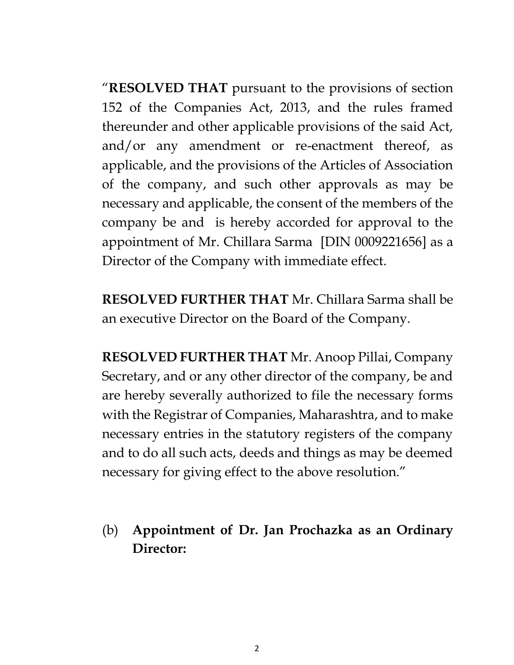"**RESOLVED THAT** pursuant to the provisions of section 152 of the Companies Act, 2013, and the rules framed thereunder and other applicable provisions of the said Act, and/or any amendment or re-enactment thereof, as applicable, and the provisions of the Articles of Association of the company, and such other approvals as may be necessary and applicable, the consent of the members of the company be and is hereby accorded for approval to the appointment of Mr. Chillara Sarma [DIN 0009221656] as a Director of the Company with immediate effect.

**RESOLVED FURTHER THAT** Mr. Chillara Sarma shall be an executive Director on the Board of the Company.

**RESOLVED FURTHER THAT** Mr. Anoop Pillai, Company Secretary, and or any other director of the company, be and are hereby severally authorized to file the necessary forms with the Registrar of Companies, Maharashtra, and to make necessary entries in the statutory registers of the company and to do all such acts, deeds and things as may be deemed necessary for giving effect to the above resolution."

(b) **Appointment of Dr. Jan Prochazka as an Ordinary Director:**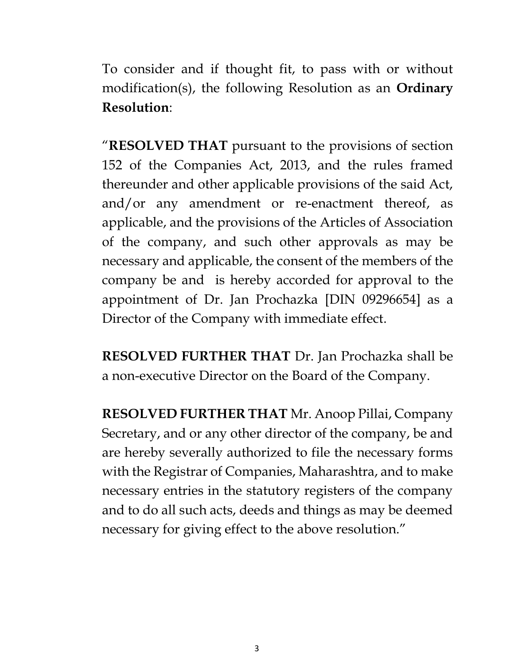To consider and if thought fit, to pass with or without modification(s), the following Resolution as an **Ordinary Resolution**:

"**RESOLVED THAT** pursuant to the provisions of section 152 of the Companies Act, 2013, and the rules framed thereunder and other applicable provisions of the said Act, and/or any amendment or re-enactment thereof, as applicable, and the provisions of the Articles of Association of the company, and such other approvals as may be necessary and applicable, the consent of the members of the company be and is hereby accorded for approval to the appointment of Dr. Jan Prochazka [DIN 09296654] as a Director of the Company with immediate effect.

**RESOLVED FURTHER THAT** Dr. Jan Prochazka shall be a non-executive Director on the Board of the Company.

**RESOLVED FURTHER THAT** Mr. Anoop Pillai, Company Secretary, and or any other director of the company, be and are hereby severally authorized to file the necessary forms with the Registrar of Companies, Maharashtra, and to make necessary entries in the statutory registers of the company and to do all such acts, deeds and things as may be deemed necessary for giving effect to the above resolution."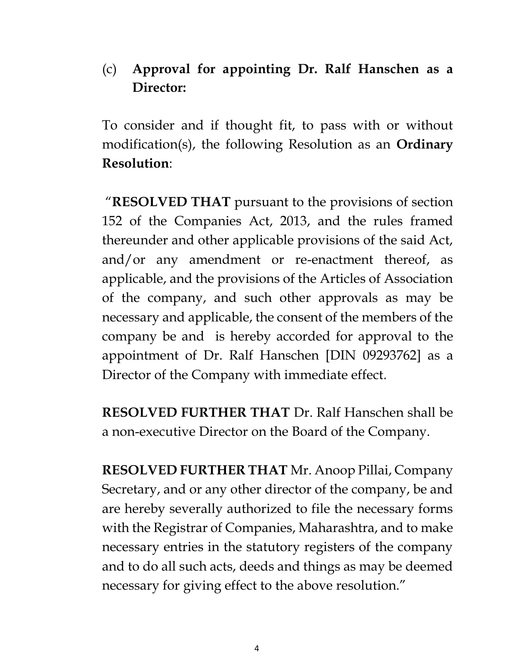## (c) **Approval for appointing Dr. Ralf Hanschen as a Director:**

To consider and if thought fit, to pass with or without modification(s), the following Resolution as an **Ordinary Resolution**:

"**RESOLVED THAT** pursuant to the provisions of section 152 of the Companies Act, 2013, and the rules framed thereunder and other applicable provisions of the said Act, and/or any amendment or re-enactment thereof, as applicable, and the provisions of the Articles of Association of the company, and such other approvals as may be necessary and applicable, the consent of the members of the company be and is hereby accorded for approval to the appointment of Dr. Ralf Hanschen [DIN 09293762] as a Director of the Company with immediate effect.

**RESOLVED FURTHER THAT** Dr. Ralf Hanschen shall be a non-executive Director on the Board of the Company.

**RESOLVED FURTHER THAT** Mr. Anoop Pillai, Company Secretary, and or any other director of the company, be and are hereby severally authorized to file the necessary forms with the Registrar of Companies, Maharashtra, and to make necessary entries in the statutory registers of the company and to do all such acts, deeds and things as may be deemed necessary for giving effect to the above resolution."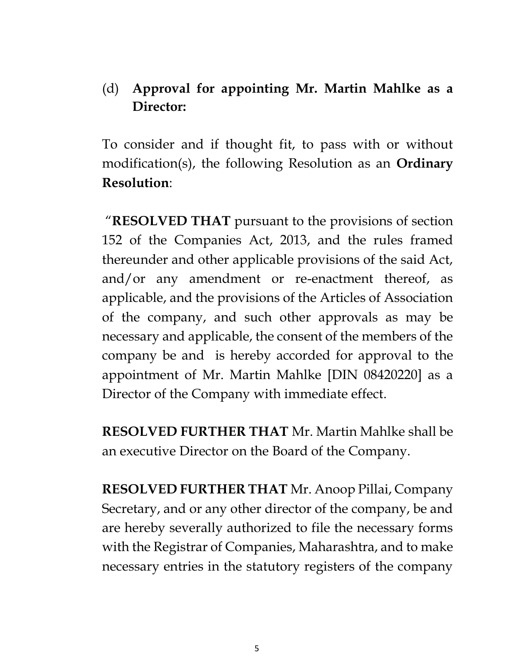### (d) **Approval for appointing Mr. Martin Mahlke as a Director:**

To consider and if thought fit, to pass with or without modification(s), the following Resolution as an **Ordinary Resolution**:

"**RESOLVED THAT** pursuant to the provisions of section 152 of the Companies Act, 2013, and the rules framed thereunder and other applicable provisions of the said Act, and/or any amendment or re-enactment thereof, as applicable, and the provisions of the Articles of Association of the company, and such other approvals as may be necessary and applicable, the consent of the members of the company be and is hereby accorded for approval to the appointment of Mr. Martin Mahlke [DIN 08420220] as a Director of the Company with immediate effect.

**RESOLVED FURTHER THAT** Mr. Martin Mahlke shall be an executive Director on the Board of the Company.

**RESOLVED FURTHER THAT** Mr. Anoop Pillai, Company Secretary, and or any other director of the company, be and are hereby severally authorized to file the necessary forms with the Registrar of Companies, Maharashtra, and to make necessary entries in the statutory registers of the company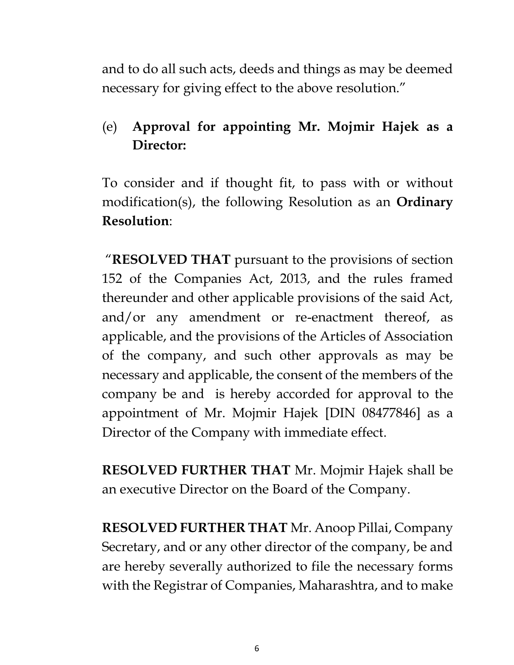and to do all such acts, deeds and things as may be deemed necessary for giving effect to the above resolution."

# (e) **Approval for appointing Mr. Mojmir Hajek as a Director:**

To consider and if thought fit, to pass with or without modification(s), the following Resolution as an **Ordinary Resolution**:

"**RESOLVED THAT** pursuant to the provisions of section 152 of the Companies Act, 2013, and the rules framed thereunder and other applicable provisions of the said Act, and/or any amendment or re-enactment thereof, as applicable, and the provisions of the Articles of Association of the company, and such other approvals as may be necessary and applicable, the consent of the members of the company be and is hereby accorded for approval to the appointment of Mr. Mojmir Hajek [DIN 08477846] as a Director of the Company with immediate effect.

**RESOLVED FURTHER THAT** Mr. Mojmir Hajek shall be an executive Director on the Board of the Company.

**RESOLVED FURTHER THAT** Mr. Anoop Pillai, Company Secretary, and or any other director of the company, be and are hereby severally authorized to file the necessary forms with the Registrar of Companies, Maharashtra, and to make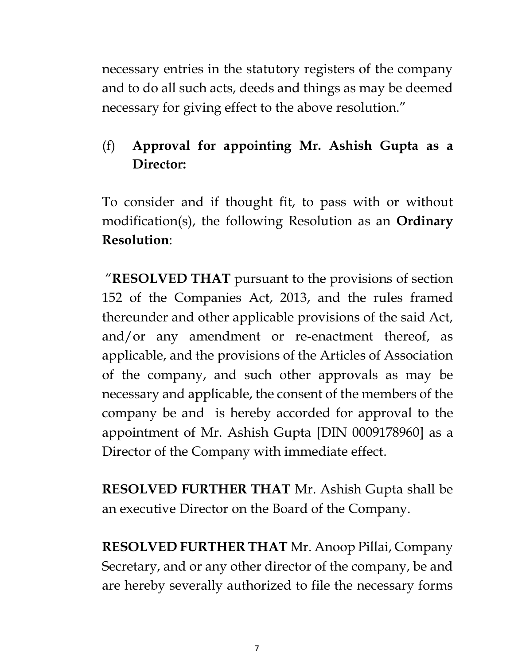necessary entries in the statutory registers of the company and to do all such acts, deeds and things as may be deemed necessary for giving effect to the above resolution."

## (f) **Approval for appointing Mr. Ashish Gupta as a Director:**

To consider and if thought fit, to pass with or without modification(s), the following Resolution as an **Ordinary Resolution**:

"**RESOLVED THAT** pursuant to the provisions of section 152 of the Companies Act, 2013, and the rules framed thereunder and other applicable provisions of the said Act, and/or any amendment or re-enactment thereof, as applicable, and the provisions of the Articles of Association of the company, and such other approvals as may be necessary and applicable, the consent of the members of the company be and is hereby accorded for approval to the appointment of Mr. Ashish Gupta [DIN 0009178960] as a Director of the Company with immediate effect.

**RESOLVED FURTHER THAT** Mr. Ashish Gupta shall be an executive Director on the Board of the Company.

**RESOLVED FURTHER THAT** Mr. Anoop Pillai, Company Secretary, and or any other director of the company, be and are hereby severally authorized to file the necessary forms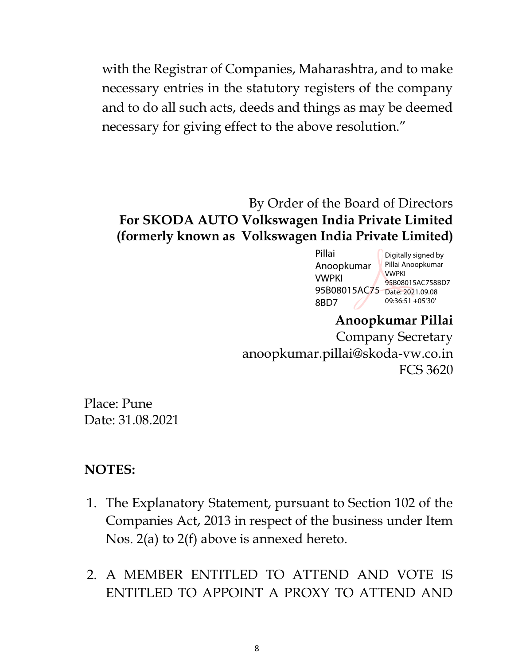with the Registrar of Companies, Maharashtra, and to make necessary entries in the statutory registers of the company and to do all such acts, deeds and things as may be deemed necessary for giving effect to the above resolution."

#### By Order of the Board of Directors **For SKODA AUTO Volkswagen India Private Limited (formerly known as Volkswagen India Private Limited)**

| Pillai<br>Anoopkumar<br><b>VWPKI</b><br>95B08015AC75 | Digitally signed by<br>Pillai Anoopkumar<br><b>VWPKI</b><br>95B08015AC758BD7<br>Date: 2021.09.08 |
|------------------------------------------------------|--------------------------------------------------------------------------------------------------|
| 8BD7                                                 | 09:36:51 +05'30'                                                                                 |
|                                                      |                                                                                                  |

**Anoopkumar Pillai** Company Secretary anoopkumar.pillai@skoda-vw.co.in FCS 3620

Place: Pune Date: 31.08.2021

#### **NOTES:**

- 1. The Explanatory Statement, pursuant to Section 102 of the Companies Act, 2013 in respect of the business under Item Nos. 2(a) to 2(f) above is annexed hereto.
- 2. A MEMBER ENTITLED TO ATTEND AND VOTE IS ENTITLED TO APPOINT A PROXY TO ATTEND AND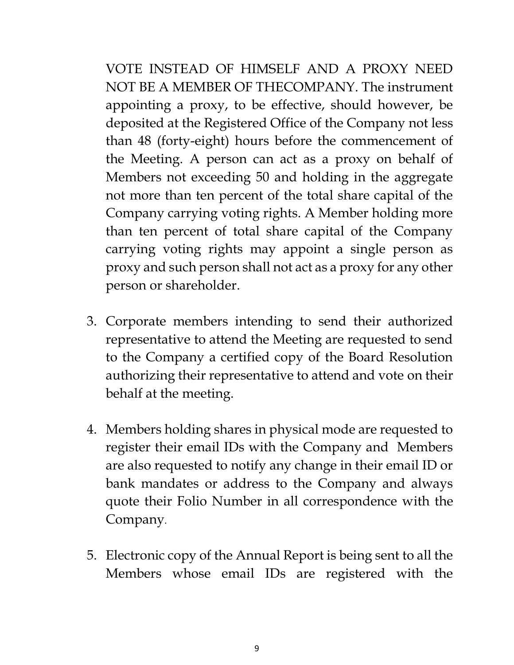VOTE INSTEAD OF HIMSELF AND A PROXY NEED NOT BE A MEMBER OF THECOMPANY. The instrument appointing a proxy, to be effective, should however, be deposited at the Registered Office of the Company not less than 48 (forty-eight) hours before the commencement of the Meeting. A person can act as a proxy on behalf of Members not exceeding 50 and holding in the aggregate not more than ten percent of the total share capital of the Company carrying voting rights. A Member holding more than ten percent of total share capital of the Company carrying voting rights may appoint a single person as proxy and such person shall not act as a proxy for any other person or shareholder.

- 3. Corporate members intending to send their authorized representative to attend the Meeting are requested to send to the Company a certified copy of the Board Resolution authorizing their representative to attend and vote on their behalf at the meeting.
- 4. Members holding shares in physical mode are requested to register their email IDs with the Company and Members are also requested to notify any change in their email ID or bank mandates or address to the Company and always quote their Folio Number in all correspondence with the Company.
- 5. Electronic copy of the Annual Report is being sent to all the Members whose email IDs are registered with the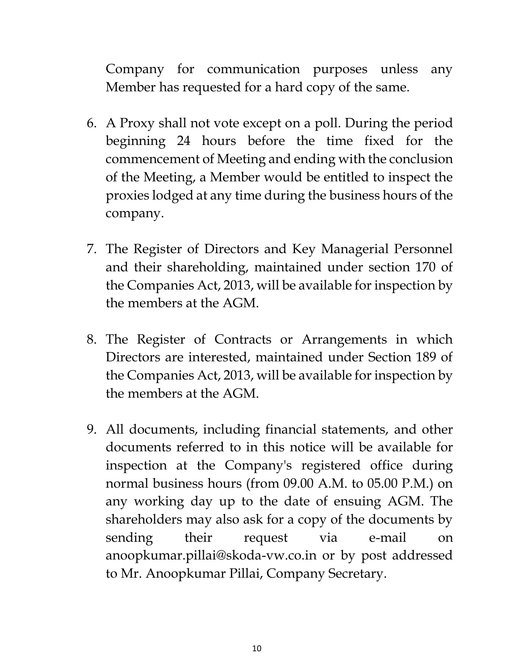Company for communication purposes unless any Member has requested for a hard copy of the same.

- 6. A Proxy shall not vote except on a poll. During the period beginning 24 hours before the time fixed for the commencement of Meeting and ending with the conclusion of the Meeting, a Member would be entitled to inspect the proxies lodged at any time during the business hours of the company.
- 7. The Register of Directors and Key Managerial Personnel and their shareholding, maintained under section 170 of the Companies Act, 2013, will be available for inspection by the members at the AGM.
- 8. The Register of Contracts or Arrangements in which Directors are interested, maintained under Section 189 of the Companies Act, 2013, will be available for inspection by the members at the AGM.
- 9. All documents, including financial statements, and other documents referred to in this notice will be available for inspection at the Company's registered office during normal business hours (from 09.00 A.M. to 05.00 P.M.) on any working day up to the date of ensuing AGM. The shareholders may also ask for a copy of the documents by sending their request via e-mail on anoopkumar.pillai@skoda-vw.co.in or by post addressed to Mr. Anoopkumar Pillai, Company Secretary.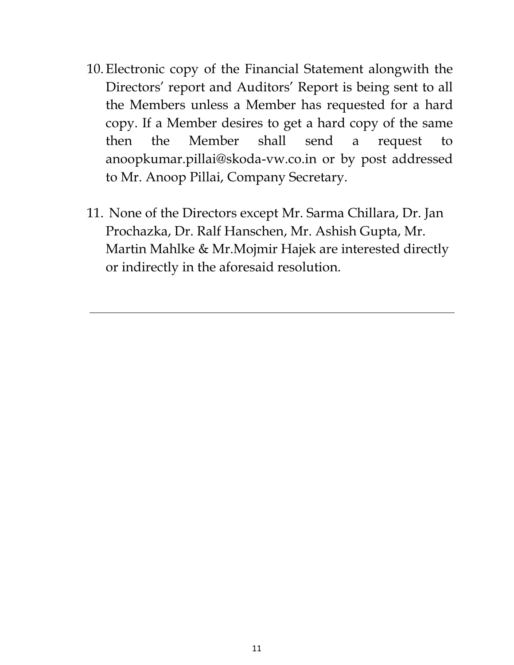- 10.Electronic copy of the Financial Statement alongwith the Directors' report and Auditors' Report is being sent to all the Members unless a Member has requested for a hard copy. If a Member desires to get a hard copy of the same then the Member shall send a request to anoopkumar.pillai@skoda-vw.co.in or by post addressed to Mr. Anoop Pillai, Company Secretary.
- 11. None of the Directors except Mr. Sarma Chillara, Dr. Jan Prochazka, Dr. Ralf Hanschen, Mr. Ashish Gupta, Mr. Martin Mahlke & Mr.Mojmir Hajek are interested directly or indirectly in the aforesaid resolution.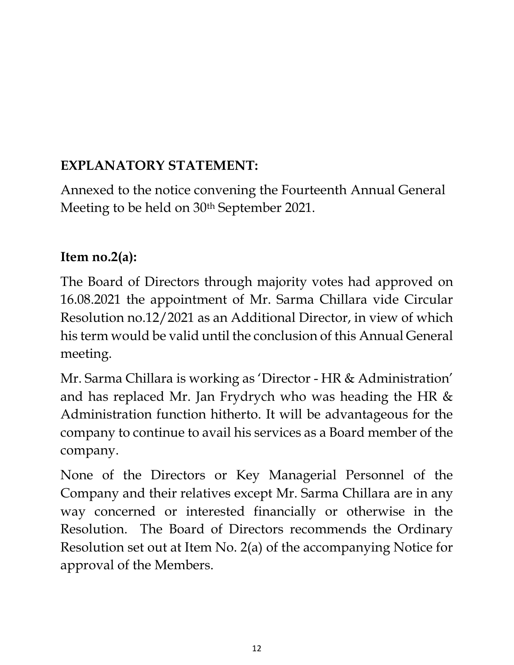# **EXPLANATORY STATEMENT:**

Annexed to the notice convening the Fourteenth Annual General Meeting to be held on 30<sup>th</sup> September 2021.

### **Item no.2(a):**

The Board of Directors through majority votes had approved on 16.08.2021 the appointment of Mr. Sarma Chillara vide Circular Resolution no.12/2021 as an Additional Director, in view of which his term would be valid until the conclusion of this Annual General meeting.

Mr. Sarma Chillara is working as 'Director - HR & Administration' and has replaced Mr. Jan Frydrych who was heading the HR & Administration function hitherto. It will be advantageous for the company to continue to avail his services as a Board member of the company.

None of the Directors or Key Managerial Personnel of the Company and their relatives except Mr. Sarma Chillara are in any way concerned or interested financially or otherwise in the Resolution. The Board of Directors recommends the Ordinary Resolution set out at Item No. 2(a) of the accompanying Notice for approval of the Members.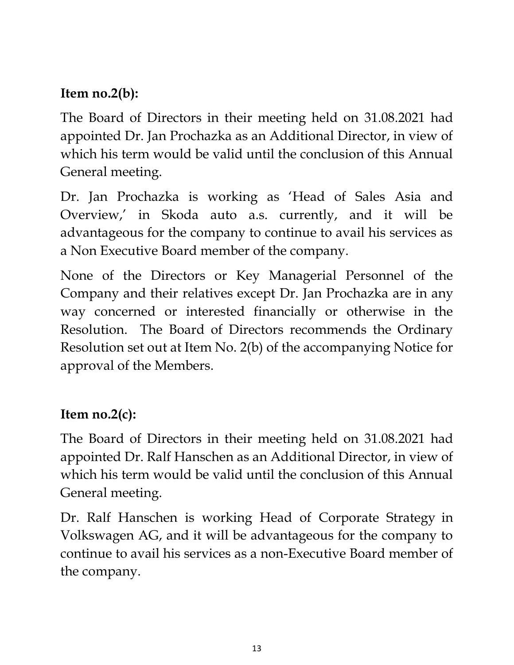## **Item no.2(b):**

The Board of Directors in their meeting held on 31.08.2021 had appointed Dr. Jan Prochazka as an Additional Director, in view of which his term would be valid until the conclusion of this Annual General meeting.

Dr. Jan Prochazka is working as 'Head of Sales Asia and Overview,' in Skoda auto a.s. currently, and it will be advantageous for the company to continue to avail his services as a Non Executive Board member of the company.

None of the Directors or Key Managerial Personnel of the Company and their relatives except Dr. Jan Prochazka are in any way concerned or interested financially or otherwise in the Resolution. The Board of Directors recommends the Ordinary Resolution set out at Item No. 2(b) of the accompanying Notice for approval of the Members.

## **Item no.2(c):**

The Board of Directors in their meeting held on 31.08.2021 had appointed Dr. Ralf Hanschen as an Additional Director, in view of which his term would be valid until the conclusion of this Annual General meeting.

Dr. Ralf Hanschen is working Head of Corporate Strategy in Volkswagen AG, and it will be advantageous for the company to continue to avail his services as a non-Executive Board member of the company.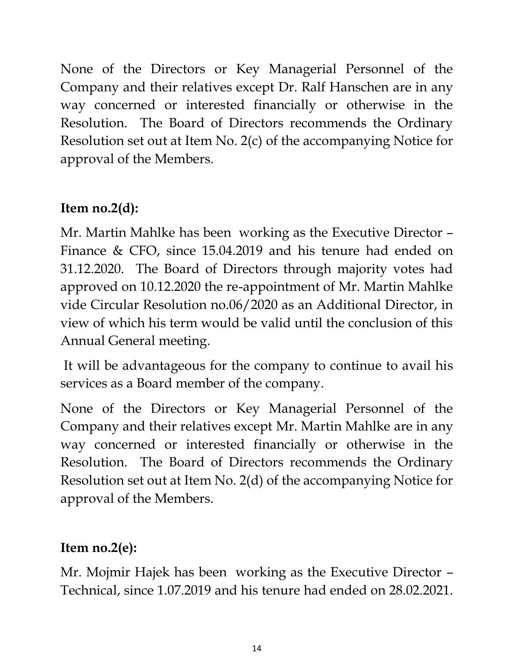None of the Directors or Key Managerial Personnel of the Company and their relatives except Dr. Ralf Hanschen are in any way concerned or interested financially or otherwise in the Resolution. The Board of Directors recommends the Ordinary Resolution set out at Item No. 2(c) of the accompanying Notice for approval of the Members.

# **Item no.2(d):**

Mr. Martin Mahlke has been working as the Executive Director – Finance & CFO, since 15.04.2019 and his tenure had ended on 31.12.2020. The Board of Directors through majority votes had approved on 10.12.2020 the re-appointment of Mr. Martin Mahlke vide Circular Resolution no.06/2020 as an Additional Director, in view of which his term would be valid until the conclusion of this Annual General meeting.

It will be advantageous for the company to continue to avail his services as a Board member of the company.

None of the Directors or Key Managerial Personnel of the Company and their relatives except Mr. Martin Mahlke are in any way concerned or interested financially or otherwise in the Resolution. The Board of Directors recommends the Ordinary Resolution set out at Item No. 2(d) of the accompanying Notice for approval of the Members.

# **Item no.2(e):**

Mr. Mojmir Hajek has been working as the Executive Director – Technical, since 1.07.2019 and his tenure had ended on 28.02.2021.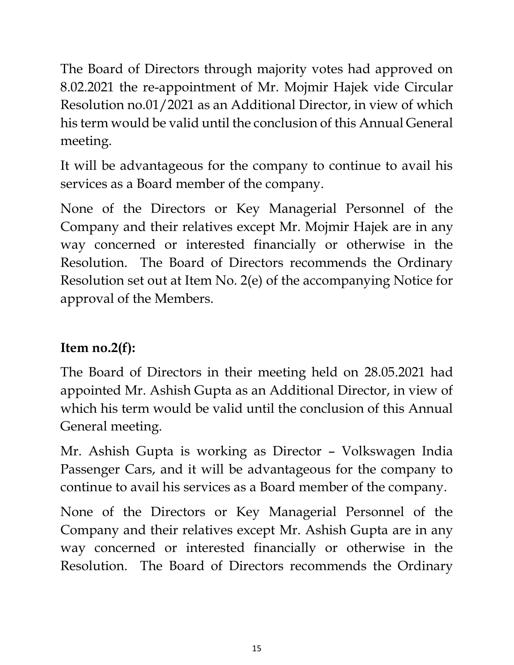The Board of Directors through majority votes had approved on 8.02.2021 the re-appointment of Mr. Mojmir Hajek vide Circular Resolution no.01/2021 as an Additional Director, in view of which his term would be valid until the conclusion of this Annual General meeting.

It will be advantageous for the company to continue to avail his services as a Board member of the company.

None of the Directors or Key Managerial Personnel of the Company and their relatives except Mr. Mojmir Hajek are in any way concerned or interested financially or otherwise in the Resolution. The Board of Directors recommends the Ordinary Resolution set out at Item No. 2(e) of the accompanying Notice for approval of the Members.

# **Item no.2(f):**

The Board of Directors in their meeting held on 28.05.2021 had appointed Mr. Ashish Gupta as an Additional Director, in view of which his term would be valid until the conclusion of this Annual General meeting.

Mr. Ashish Gupta is working as Director – Volkswagen India Passenger Cars, and it will be advantageous for the company to continue to avail his services as a Board member of the company.

None of the Directors or Key Managerial Personnel of the Company and their relatives except Mr. Ashish Gupta are in any way concerned or interested financially or otherwise in the Resolution. The Board of Directors recommends the Ordinary